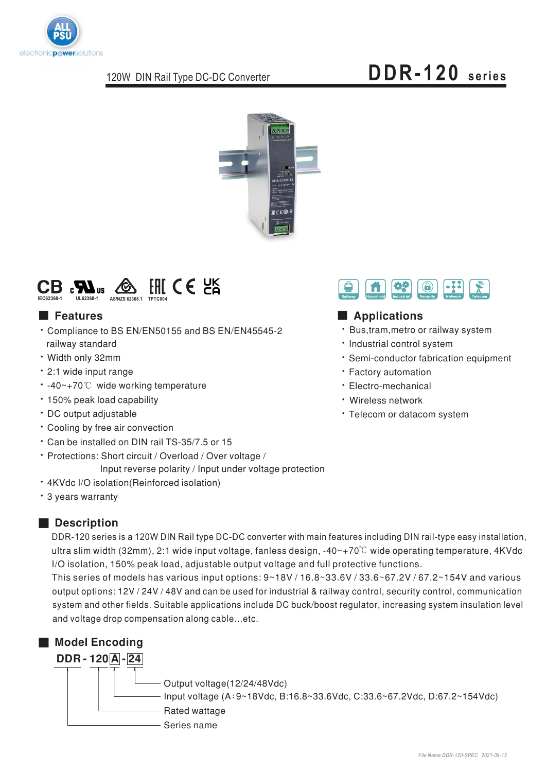

### 120W DIN Rail Type DC-DC Converter

# **DDR-120 series**





### ■ Features

- \* Compliance to BS EN/EN50155 and BS EN/EN45545-2 railway standard
- · Width only 32mm
- 2:1 wide input range
- $\cdot$  -40~+70°C wide working temperature
- 150% peak load capability
- DC output adjustable
- Cooling by free air convection
- Can be installed on DIN rail TS-35/7.5 or 15
- Protections: Short circuit / Overload / Over voltage /
- Input reverse polarity / Input under voltage protection
- 4KVdc I/O isolation(Reinforced isolation)
- \* 3 years warranty

## ■ **Description**

DDR-120 series is a 120W DIN Rail type DC-DC converter with main features including DIN rail-type easy installation, ultra slim width (32mm), 2:1 wide input voltage, fanless design, -40~+70°C wide operating temperature, 4KVdc I/O isolation, 150% peak load, adjustable output voltage and full protective functions.

This series of models has various input options:  $9~18V/16.8~33.6V/33.6~67.2V/67.2~154V$  and various output options: 12V / 24V / 48V and can be used for industrial & railway control, security control, communication system and other fields. Suitable applications include DC buck/boost regulator, increasing system insulation level and voltage drop compensation along cable…etc.





## ■ Features **■ Applications**

- Bus, tram, metro or railway system
- . Industrial control system
- Semi-conductor fabrication equipment
- Factory automation
- · Electro-mechanical
- Wireless network
- · Telecom or datacom system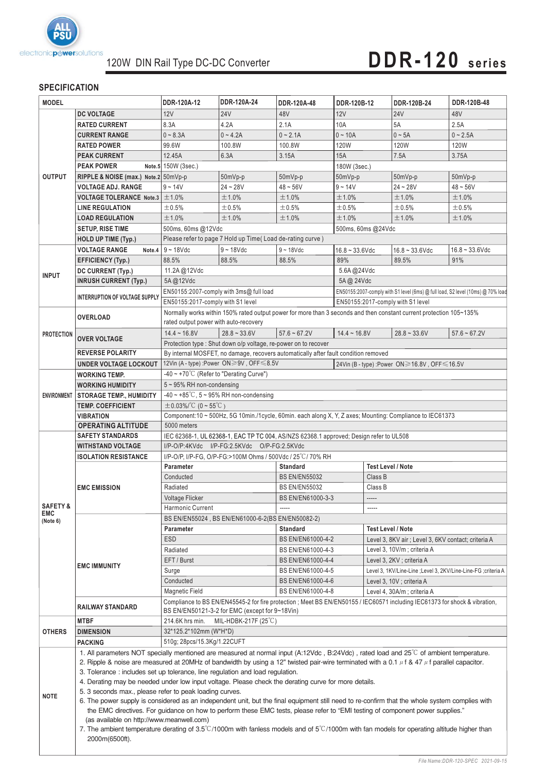

# **DDR-120 series**

### **SPECIFICATION**

| <b>MODEL</b>        |                                                                                                                                                                                                                                                                                                | DDR-120A-12                                                                                                                                                                   | DDR-120A-24                                                                             | DDR-120A-48                                                                         | DDR-120B-12                                                     | DDR-120B-24                                                                     | DDR-120B-48       |  |  |
|---------------------|------------------------------------------------------------------------------------------------------------------------------------------------------------------------------------------------------------------------------------------------------------------------------------------------|-------------------------------------------------------------------------------------------------------------------------------------------------------------------------------|-----------------------------------------------------------------------------------------|-------------------------------------------------------------------------------------|-----------------------------------------------------------------|---------------------------------------------------------------------------------|-------------------|--|--|
|                     | <b>DC VOLTAGE</b>                                                                                                                                                                                                                                                                              | 12V                                                                                                                                                                           | <b>24V</b>                                                                              | 48V                                                                                 | 12V                                                             | <b>24V</b>                                                                      | 48V               |  |  |
| <b>OUTPUT</b>       | <b>RATED CURRENT</b>                                                                                                                                                                                                                                                                           | 8.3A                                                                                                                                                                          | 4.2A                                                                                    | 2.1A                                                                                | 10A                                                             | 5A                                                                              | 2.5A              |  |  |
|                     | <b>CURRENT RANGE</b>                                                                                                                                                                                                                                                                           | $0 - 8.3A$                                                                                                                                                                    | $0 - 4.2A$                                                                              | $0 - 2.1A$                                                                          | $0 - 10A$                                                       | $0 \sim 5A$                                                                     | $0 - 2.5A$        |  |  |
|                     | <b>RATED POWER</b>                                                                                                                                                                                                                                                                             | 99.6W                                                                                                                                                                         | 100.8W                                                                                  | 100.8W                                                                              | 120W                                                            | <b>120W</b>                                                                     | <b>120W</b>       |  |  |
|                     | <b>PEAK CURRENT</b>                                                                                                                                                                                                                                                                            | 12.45A                                                                                                                                                                        | 6.3A                                                                                    | 3.15A                                                                               | 15A                                                             | 7.5A                                                                            | 3.75A             |  |  |
|                     | <b>PEAK POWER</b>                                                                                                                                                                                                                                                                              | Note.5 150W (3sec.)                                                                                                                                                           |                                                                                         |                                                                                     | 180W (3sec.)                                                    |                                                                                 |                   |  |  |
|                     | RIPPLE & NOISE (max.) Note.2 50mVp-p                                                                                                                                                                                                                                                           |                                                                                                                                                                               | 50mVp-p                                                                                 | 50mVp-p                                                                             | 50mVp-p                                                         | 50mVp-p<br>50mVp-p                                                              |                   |  |  |
|                     | <b>VOLTAGE ADJ. RANGE</b>                                                                                                                                                                                                                                                                      | $9 - 14V$                                                                                                                                                                     | $24 - 28V$                                                                              | $48 - 56V$                                                                          | $9 - 14V$                                                       | $24 - 28V$                                                                      | $48 - 56V$        |  |  |
|                     | <b>VOLTAGE TOLERANCE Note.3 <math>\pm</math>1.0%</b>                                                                                                                                                                                                                                           |                                                                                                                                                                               | ±1.0%                                                                                   | ±1.0%                                                                               | ±1.0%                                                           | $±1.0\%$                                                                        | ±1.0%             |  |  |
|                     | <b>LINE REGULATION</b>                                                                                                                                                                                                                                                                         | ±0.5%                                                                                                                                                                         | ±0.5%                                                                                   | $\pm 0.5\%$                                                                         | ±0.5%                                                           | ±0.5%                                                                           | ±0.5%             |  |  |
|                     | <b>LOAD REGULATION</b>                                                                                                                                                                                                                                                                         | ±1.0%                                                                                                                                                                         | ±1.0%                                                                                   | ±1.0%                                                                               | ±1.0%                                                           | ±1.0%                                                                           | ±1.0%             |  |  |
|                     | <b>SETUP, RISE TIME</b>                                                                                                                                                                                                                                                                        | 500ms, 60ms @12Vdc                                                                                                                                                            |                                                                                         |                                                                                     |                                                                 |                                                                                 |                   |  |  |
|                     |                                                                                                                                                                                                                                                                                                | Please refer to page 7 Hold up Time(Load de-rating curve)                                                                                                                     |                                                                                         |                                                                                     |                                                                 | 500ms, 60ms @24Vdc                                                              |                   |  |  |
|                     | <b>HOLD UP TIME (Typ.)</b><br><b>VOLTAGE RANGE</b>                                                                                                                                                                                                                                             | $9 - 18$ Vdc                                                                                                                                                                  |                                                                                         | $9 - 18$ Vdc                                                                        |                                                                 |                                                                                 |                   |  |  |
|                     | Note.4                                                                                                                                                                                                                                                                                         |                                                                                                                                                                               | $9 - 18$ Vdc                                                                            |                                                                                     | $16.8 - 33.6$ Vdc                                               | $16.8 - 33.6$ Vdc                                                               | $16.8 - 33.6$ Vdc |  |  |
|                     | <b>EFFICIENCY (Typ.)</b>                                                                                                                                                                                                                                                                       | 88.5%                                                                                                                                                                         | 88.5%                                                                                   | 88.5%                                                                               | 89%                                                             | 89.5%                                                                           | 91%               |  |  |
| <b>INPUT</b>        | DC CURRENT (Typ.)                                                                                                                                                                                                                                                                              | 11.2A@12Vdc                                                                                                                                                                   |                                                                                         |                                                                                     | 5.6A@24Vdc                                                      |                                                                                 |                   |  |  |
|                     | <b>INRUSH CURRENT (Typ.)</b>                                                                                                                                                                                                                                                                   | 5A@12Vdc                                                                                                                                                                      |                                                                                         |                                                                                     |                                                                 | 5A @ 24Vdc                                                                      |                   |  |  |
|                     | <b>INTERRUPTION OF VOLTAGE SUPPLY</b>                                                                                                                                                                                                                                                          | EN50155:2007-comply with 3ms@ full load                                                                                                                                       |                                                                                         |                                                                                     |                                                                 | EN50155:2007-comply with S1 level (6ms) @ full load, S2 level (10ms) @ 70% load |                   |  |  |
|                     |                                                                                                                                                                                                                                                                                                | EN50155:2017-comply with S1 level<br>EN50155:2017-comply with S1 level                                                                                                        |                                                                                         |                                                                                     |                                                                 |                                                                                 |                   |  |  |
|                     | <b>OVERLOAD</b>                                                                                                                                                                                                                                                                                | Normally works within 150% rated output power for more than 3 seconds and then constant current protection 105~135%                                                           |                                                                                         |                                                                                     |                                                                 |                                                                                 |                   |  |  |
|                     |                                                                                                                                                                                                                                                                                                | rated output power with auto-recovery                                                                                                                                         |                                                                                         |                                                                                     |                                                                 |                                                                                 |                   |  |  |
| <b>PROTECTION</b>   | <b>OVER VOLTAGE</b>                                                                                                                                                                                                                                                                            | $14.4 - 16.8V$                                                                                                                                                                | $28.8 - 33.6V$                                                                          | $57.6 - 67.2V$                                                                      | $14.4 \sim 16.8$ V                                              | $28.8 - 33.6V$                                                                  | $57.6 - 67.2V$    |  |  |
|                     |                                                                                                                                                                                                                                                                                                |                                                                                                                                                                               |                                                                                         | Protection type: Shut down o/p voltage, re-power on to recover                      |                                                                 |                                                                                 |                   |  |  |
|                     | <b>REVERSE POLARITY</b>                                                                                                                                                                                                                                                                        |                                                                                                                                                                               |                                                                                         | By internal MOSFET, no damage, recovers automatically after fault condition removed |                                                                 |                                                                                 |                   |  |  |
|                     | <b>UNDER VOLTAGE LOCKOUT</b>                                                                                                                                                                                                                                                                   | 12Vin (A - type) :Power ON≥9V, OFF ≤8.5V                                                                                                                                      |                                                                                         |                                                                                     |                                                                 | 24Vin (B - type) : Power ON≥16.8V, OFF ≤16.5V                                   |                   |  |  |
|                     | <b>WORKING TEMP.</b>                                                                                                                                                                                                                                                                           | -40 $\sim$ +70°C (Refer to "Derating Curve")                                                                                                                                  |                                                                                         |                                                                                     |                                                                 |                                                                                 |                   |  |  |
|                     | <b>WORKING HUMIDITY</b>                                                                                                                                                                                                                                                                        | 5~95% RH non-condensing                                                                                                                                                       |                                                                                         |                                                                                     |                                                                 |                                                                                 |                   |  |  |
| <b>ENVIRONMENT</b>  | <b>STORAGE TEMP., HUMIDITY</b>                                                                                                                                                                                                                                                                 | $-40 \sim +85^{\circ}$ C, 5 ~ 95% RH non-condensing                                                                                                                           |                                                                                         |                                                                                     |                                                                 |                                                                                 |                   |  |  |
|                     | <b>TEMP. COEFFICIENT</b>                                                                                                                                                                                                                                                                       | $\pm 0.03\%$ /°C (0 ~ 55°C)                                                                                                                                                   |                                                                                         |                                                                                     |                                                                 |                                                                                 |                   |  |  |
|                     | <b>VIBRATION</b>                                                                                                                                                                                                                                                                               | Component:10 ~ 500Hz, 5G 10min./1cycle, 60min. each along X, Y, Z axes; Mounting: Compliance to IEC61373                                                                      |                                                                                         |                                                                                     |                                                                 |                                                                                 |                   |  |  |
|                     | <b>OPERATING ALTITUDE</b>                                                                                                                                                                                                                                                                      | 5000 meters                                                                                                                                                                   |                                                                                         |                                                                                     |                                                                 |                                                                                 |                   |  |  |
|                     | <b>SAFETY STANDARDS</b>                                                                                                                                                                                                                                                                        | IEC 62368-1, UL 62368-1, EAC TP TC 004, AS/NZS 62368.1 approved; Design refer to UL508                                                                                        |                                                                                         |                                                                                     |                                                                 |                                                                                 |                   |  |  |
|                     | <b>WITHSTAND VOLTAGE</b>                                                                                                                                                                                                                                                                       | I/P-O/P:4KVdc I/P-FG:2.5KVdc O/P-FG:2.5KVdc                                                                                                                                   |                                                                                         |                                                                                     |                                                                 |                                                                                 |                   |  |  |
|                     | <b>ISOLATION RESISTANCE</b>                                                                                                                                                                                                                                                                    | I/P-O/P, I/P-FG, O/P-FG:>100M Ohms / 500Vdc / 25 °C / 70% RH<br><b>Test Level / Note</b><br><b>Standard</b>                                                                   |                                                                                         |                                                                                     |                                                                 |                                                                                 |                   |  |  |
|                     | <b>EMC EMISSION</b>                                                                                                                                                                                                                                                                            | Parameter<br>Conducted<br><b>BS EN/EN55032</b><br>Class B                                                                                                                     |                                                                                         |                                                                                     |                                                                 |                                                                                 |                   |  |  |
|                     |                                                                                                                                                                                                                                                                                                | Radiated<br><b>BS EN/EN55032</b>                                                                                                                                              |                                                                                         |                                                                                     | Class B                                                         |                                                                                 |                   |  |  |
|                     |                                                                                                                                                                                                                                                                                                | BS EN/EN61000-3-3                                                                                                                                                             |                                                                                         |                                                                                     |                                                                 |                                                                                 |                   |  |  |
| <b>SAFETY &amp;</b> |                                                                                                                                                                                                                                                                                                | <b>Voltage Flicker</b>                                                                                                                                                        |                                                                                         |                                                                                     | -----                                                           |                                                                                 |                   |  |  |
| <b>EMC</b>          |                                                                                                                                                                                                                                                                                                |                                                                                                                                                                               | Harmonic Current<br>-----<br>-----<br>BS EN/EN55024, BS EN/EN61000-6-2(BS EN/EN50082-2) |                                                                                     |                                                                 |                                                                                 |                   |  |  |
| (Note 6)            | <b>EMC IMMUNITY</b>                                                                                                                                                                                                                                                                            | <b>Parameter</b>                                                                                                                                                              |                                                                                         |                                                                                     |                                                                 | Test Level / Note                                                               |                   |  |  |
|                     |                                                                                                                                                                                                                                                                                                | <b>Standard</b><br><b>ESD</b><br>BS EN/EN61000-4-2                                                                                                                            |                                                                                         |                                                                                     |                                                                 |                                                                                 |                   |  |  |
|                     |                                                                                                                                                                                                                                                                                                |                                                                                                                                                                               |                                                                                         | Level 3, 8KV air ; Level 3, 6KV contact; criteria A<br>Level 3, 10V/m; criteria A   |                                                                 |                                                                                 |                   |  |  |
|                     |                                                                                                                                                                                                                                                                                                | Radiated<br>BS EN/EN61000-4-3                                                                                                                                                 |                                                                                         |                                                                                     |                                                                 |                                                                                 |                   |  |  |
|                     |                                                                                                                                                                                                                                                                                                | EFT/Burst<br>BS EN/EN61000-4-4                                                                                                                                                |                                                                                         |                                                                                     | Level 3, 2KV ; criteria A                                       |                                                                                 |                   |  |  |
|                     |                                                                                                                                                                                                                                                                                                | BS EN/EN61000-4-5<br>Surge                                                                                                                                                    |                                                                                         |                                                                                     | Level 3, 1KV/Line-Line ; Level 3, 2KV/Line-Line-FG ; criteria A |                                                                                 |                   |  |  |
|                     |                                                                                                                                                                                                                                                                                                | Conducted<br>BS EN/EN61000-4-6<br>Level 3, 10V; criteria A                                                                                                                    |                                                                                         |                                                                                     |                                                                 |                                                                                 |                   |  |  |
|                     |                                                                                                                                                                                                                                                                                                |                                                                                                                                                                               | BS EN/EN61000-4-8<br>Magnetic Field<br>Level 4, 30A/m; criteria A                       |                                                                                     |                                                                 |                                                                                 |                   |  |  |
|                     | <b>RAILWAY STANDARD</b>                                                                                                                                                                                                                                                                        | Compliance to BS EN/EN45545-2 for fire protection ; Meet BS EN/EN50155 / IEC60571 including IEC61373 for shock & vibration,<br>BS EN/EN50121-3-2 for EMC (except for 9~18Vin) |                                                                                         |                                                                                     |                                                                 |                                                                                 |                   |  |  |
|                     | <b>MTBF</b>                                                                                                                                                                                                                                                                                    | MIL-HDBK-217F (25 $\degree$ C)<br>214.6K hrs min.                                                                                                                             |                                                                                         |                                                                                     |                                                                 |                                                                                 |                   |  |  |
| <b>OTHERS</b>       | <b>DIMENSION</b>                                                                                                                                                                                                                                                                               | 32*125.2*102mm (W*H*D)                                                                                                                                                        |                                                                                         |                                                                                     |                                                                 |                                                                                 |                   |  |  |
|                     | <b>PACKING</b>                                                                                                                                                                                                                                                                                 | 510g; 28pcs/15.3Kg/1.22CUFT                                                                                                                                                   |                                                                                         |                                                                                     |                                                                 |                                                                                 |                   |  |  |
|                     |                                                                                                                                                                                                                                                                                                |                                                                                                                                                                               |                                                                                         |                                                                                     |                                                                 |                                                                                 |                   |  |  |
|                     | 1. All parameters NOT specially mentioned are measured at normal input (A:12Vdc, B:24Vdc), rated load and 25°C of ambient temperature.<br>2. Ripple & noise are measured at 20MHz of bandwidth by using a 12" twisted pair-wire terminated with a 0.1 $\mu$ f & 47 $\mu$ f parallel capacitor. |                                                                                                                                                                               |                                                                                         |                                                                                     |                                                                 |                                                                                 |                   |  |  |
|                     | 3. Tolerance : includes set up tolerance, line regulation and load regulation.                                                                                                                                                                                                                 |                                                                                                                                                                               |                                                                                         |                                                                                     |                                                                 |                                                                                 |                   |  |  |
|                     |                                                                                                                                                                                                                                                                                                | 4. Derating may be needed under low input voltage. Please check the derating curve for more details.                                                                          |                                                                                         |                                                                                     |                                                                 |                                                                                 |                   |  |  |
|                     | 5. 3 seconds max., please refer to peak loading curves.                                                                                                                                                                                                                                        |                                                                                                                                                                               |                                                                                         |                                                                                     |                                                                 |                                                                                 |                   |  |  |
| <b>NOTE</b>         | 6. The power supply is considered as an independent unit, but the final equipment still need to re-confirm that the whole system complies with                                                                                                                                                 |                                                                                                                                                                               |                                                                                         |                                                                                     |                                                                 |                                                                                 |                   |  |  |
|                     | the EMC directives. For guidance on how to perform these EMC tests, please refer to "EMI testing of component power supplies."                                                                                                                                                                 |                                                                                                                                                                               |                                                                                         |                                                                                     |                                                                 |                                                                                 |                   |  |  |
|                     | (as available on http://www.meanwell.com)                                                                                                                                                                                                                                                      |                                                                                                                                                                               |                                                                                         |                                                                                     |                                                                 |                                                                                 |                   |  |  |
|                     | 7. The ambient temperature derating of 3.5°C/1000m with fanless models and of 5°C/1000m with fan models for operating altitude higher than                                                                                                                                                     |                                                                                                                                                                               |                                                                                         |                                                                                     |                                                                 |                                                                                 |                   |  |  |
|                     | 2000m(6500ft).                                                                                                                                                                                                                                                                                 |                                                                                                                                                                               |                                                                                         |                                                                                     |                                                                 |                                                                                 |                   |  |  |
|                     |                                                                                                                                                                                                                                                                                                |                                                                                                                                                                               |                                                                                         |                                                                                     |                                                                 |                                                                                 |                   |  |  |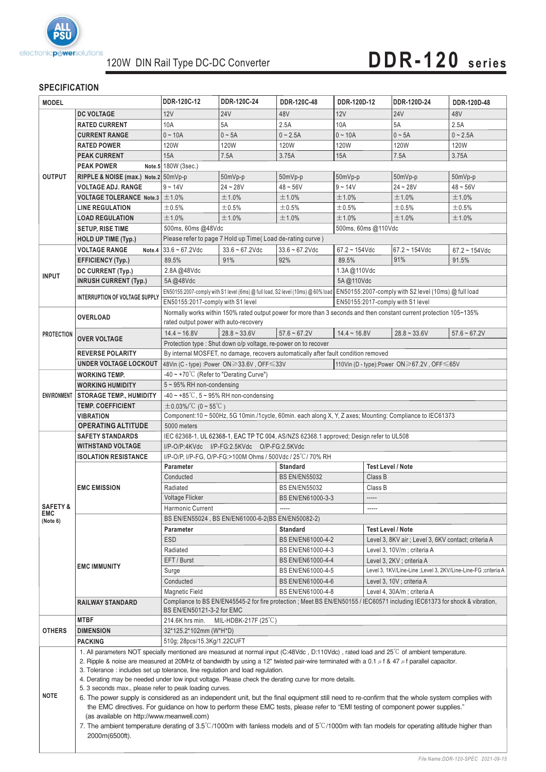

# **DDR-120 series**

### **SPECIFICATION**

| <b>MODEL</b>                                                |                                                                                                      | DDR-120C-12                                                                                                                                                                                                                                                                                                                                                                                                                                                                                                                                                                                                                                                                                                                                                                                                                                                                                                                                    | DDR-120C-24                                                | DDR-120C-48          | DDR-120D-12                                                     | DDR-120D-24                                | DDR-120D-48                                         |  |
|-------------------------------------------------------------|------------------------------------------------------------------------------------------------------|------------------------------------------------------------------------------------------------------------------------------------------------------------------------------------------------------------------------------------------------------------------------------------------------------------------------------------------------------------------------------------------------------------------------------------------------------------------------------------------------------------------------------------------------------------------------------------------------------------------------------------------------------------------------------------------------------------------------------------------------------------------------------------------------------------------------------------------------------------------------------------------------------------------------------------------------|------------------------------------------------------------|----------------------|-----------------------------------------------------------------|--------------------------------------------|-----------------------------------------------------|--|
|                                                             | <b>DC VOLTAGE</b>                                                                                    | 12V                                                                                                                                                                                                                                                                                                                                                                                                                                                                                                                                                                                                                                                                                                                                                                                                                                                                                                                                            | <b>24V</b>                                                 | 48V                  | 12V                                                             | <b>24V</b>                                 | 48V                                                 |  |
| <b>OUTPUT</b>                                               | <b>RATED CURRENT</b>                                                                                 | 10A                                                                                                                                                                                                                                                                                                                                                                                                                                                                                                                                                                                                                                                                                                                                                                                                                                                                                                                                            | 5A                                                         | 2.5A                 | 10A                                                             | 5A                                         | 2.5A                                                |  |
|                                                             | <b>CURRENT RANGE</b>                                                                                 | $0 - 10A$                                                                                                                                                                                                                                                                                                                                                                                                                                                                                                                                                                                                                                                                                                                                                                                                                                                                                                                                      | $0 - 5A$                                                   | $0 - 2.5A$           | $0 - 10A$                                                       | $0 \sim 5A$                                | $0 - 2.5A$                                          |  |
|                                                             | <b>RATED POWER</b>                                                                                   | 120W                                                                                                                                                                                                                                                                                                                                                                                                                                                                                                                                                                                                                                                                                                                                                                                                                                                                                                                                           | 120W                                                       | 120W                 | 120W                                                            | 120W                                       | <b>120W</b>                                         |  |
|                                                             | <b>PEAK CURRENT</b>                                                                                  | 15A                                                                                                                                                                                                                                                                                                                                                                                                                                                                                                                                                                                                                                                                                                                                                                                                                                                                                                                                            | 7.5A                                                       | 3.75A                | 15A                                                             | 7.5A                                       | 3.75A                                               |  |
|                                                             | <b>PEAK POWER</b>                                                                                    | Note.5 180W (3sec.)                                                                                                                                                                                                                                                                                                                                                                                                                                                                                                                                                                                                                                                                                                                                                                                                                                                                                                                            |                                                            |                      |                                                                 |                                            |                                                     |  |
|                                                             | RIPPLE & NOISE (max.) Note.2 50mVp-p                                                                 | 50mVp-p<br>$50mVp-p$                                                                                                                                                                                                                                                                                                                                                                                                                                                                                                                                                                                                                                                                                                                                                                                                                                                                                                                           |                                                            |                      | 50mVp-p<br>50mVp-p<br>$50mVp-p$                                 |                                            |                                                     |  |
|                                                             | <b>VOLTAGE ADJ. RANGE</b>                                                                            | $9 - 14V$                                                                                                                                                                                                                                                                                                                                                                                                                                                                                                                                                                                                                                                                                                                                                                                                                                                                                                                                      | $24 - 28V$                                                 | $48 - 56V$           | $9 - 14V$                                                       | $24 - 28V$                                 | $48 - 56V$                                          |  |
|                                                             | <b>VOLTAGE TOLERANCE Note.3 <math>\pm</math>1.0%</b>                                                 |                                                                                                                                                                                                                                                                                                                                                                                                                                                                                                                                                                                                                                                                                                                                                                                                                                                                                                                                                | ±1.0%                                                      | ±1.0%                | ±1.0%                                                           | ±1.0%                                      | ±1.0%                                               |  |
|                                                             | <b>LINE REGULATION</b>                                                                               | ±0.5%                                                                                                                                                                                                                                                                                                                                                                                                                                                                                                                                                                                                                                                                                                                                                                                                                                                                                                                                          | ±0.5%                                                      | $\pm 0.5\%$          | $\pm 0.5\%$                                                     | $\pm 0.5\%$                                | $\pm 0.5\%$                                         |  |
|                                                             | <b>LOAD REGULATION</b>                                                                               | ±1.0%                                                                                                                                                                                                                                                                                                                                                                                                                                                                                                                                                                                                                                                                                                                                                                                                                                                                                                                                          | ±1.0%                                                      | ±1.0%                | ±1.0%                                                           | ±1.0%                                      | ±1.0%                                               |  |
|                                                             | <b>SETUP, RISE TIME</b>                                                                              | 500ms, 60ms @48Vdc                                                                                                                                                                                                                                                                                                                                                                                                                                                                                                                                                                                                                                                                                                                                                                                                                                                                                                                             |                                                            |                      | 500ms, 60ms @110Vdc                                             |                                            |                                                     |  |
|                                                             | <b>HOLD UP TIME (Typ.)</b>                                                                           |                                                                                                                                                                                                                                                                                                                                                                                                                                                                                                                                                                                                                                                                                                                                                                                                                                                                                                                                                | Please refer to page 7 Hold up Time (Load de-rating curve) |                      |                                                                 |                                            |                                                     |  |
|                                                             | <b>VOLTAGE RANGE</b><br>Note.4                                                                       | $33.6 - 67.2$ Vdc                                                                                                                                                                                                                                                                                                                                                                                                                                                                                                                                                                                                                                                                                                                                                                                                                                                                                                                              | $33.6 - 67.2$ Vdc                                          | $33.6 - 67.2$ Vdc    | $67.2 \sim 154$ Vdc                                             | $67.2 \sim 154$ Vdc                        | $67.2 - 154$ Vdc                                    |  |
|                                                             | <b>EFFICIENCY (Typ.)</b>                                                                             | 89.5%                                                                                                                                                                                                                                                                                                                                                                                                                                                                                                                                                                                                                                                                                                                                                                                                                                                                                                                                          | 91%                                                        | 92%                  | 89.5%                                                           | 91%                                        | 91.5%                                               |  |
|                                                             | DC CURRENT (Typ.)                                                                                    | 2.8A@48Vdc                                                                                                                                                                                                                                                                                                                                                                                                                                                                                                                                                                                                                                                                                                                                                                                                                                                                                                                                     |                                                            |                      | 1.3A @110Vdc                                                    |                                            |                                                     |  |
| <b>INPUT</b>                                                | <b>INRUSH CURRENT (Typ.)</b>                                                                         | 5A@48Vdc                                                                                                                                                                                                                                                                                                                                                                                                                                                                                                                                                                                                                                                                                                                                                                                                                                                                                                                                       |                                                            |                      | 5A@110Vdc                                                       |                                            |                                                     |  |
|                                                             |                                                                                                      | EN50155:2007-comply with S1 level (6ms) @ full load, S2 level (10ms) @ 60% load EN50155:2007-comply with S2 level (10ms) @ full load                                                                                                                                                                                                                                                                                                                                                                                                                                                                                                                                                                                                                                                                                                                                                                                                           |                                                            |                      |                                                                 |                                            |                                                     |  |
|                                                             | INTERRUPTION OF VOLTAGE SUPPLY                                                                       | EN50155:2017-comply with S1 level<br>EN50155:2017-comply with S1 level                                                                                                                                                                                                                                                                                                                                                                                                                                                                                                                                                                                                                                                                                                                                                                                                                                                                         |                                                            |                      |                                                                 |                                            |                                                     |  |
|                                                             |                                                                                                      | Normally works within 150% rated output power for more than 3 seconds and then constant current protection 105~135%                                                                                                                                                                                                                                                                                                                                                                                                                                                                                                                                                                                                                                                                                                                                                                                                                            |                                                            |                      |                                                                 |                                            |                                                     |  |
|                                                             | <b>OVERLOAD</b>                                                                                      | rated output power with auto-recovery                                                                                                                                                                                                                                                                                                                                                                                                                                                                                                                                                                                                                                                                                                                                                                                                                                                                                                          |                                                            |                      |                                                                 |                                            |                                                     |  |
| <b>PROTECTION</b>                                           |                                                                                                      | $14.4 - 16.8V$                                                                                                                                                                                                                                                                                                                                                                                                                                                                                                                                                                                                                                                                                                                                                                                                                                                                                                                                 | $28.8 - 33.6V$                                             | $57.6 - 67.2V$       | $14.4 - 16.8V$                                                  | $28.8 - 33.6V$                             | $57.6 - 67.2V$                                      |  |
|                                                             | <b>OVER VOLTAGE</b>                                                                                  |                                                                                                                                                                                                                                                                                                                                                                                                                                                                                                                                                                                                                                                                                                                                                                                                                                                                                                                                                |                                                            |                      |                                                                 |                                            |                                                     |  |
|                                                             | <b>REVERSE POLARITY</b>                                                                              | Protection type: Shut down o/p voltage, re-power on to recover<br>By internal MOSFET, no damage, recovers automatically after fault condition removed                                                                                                                                                                                                                                                                                                                                                                                                                                                                                                                                                                                                                                                                                                                                                                                          |                                                            |                      |                                                                 |                                            |                                                     |  |
|                                                             | <b>UNDER VOLTAGE LOCKOUT</b>                                                                         | 48Vin (C - type) :Power ON≥33.6V, OFF ≤33V                                                                                                                                                                                                                                                                                                                                                                                                                                                                                                                                                                                                                                                                                                                                                                                                                                                                                                     |                                                            |                      |                                                                 | 110Vin (D - type):Power ON≥67.2V, OFF <65V |                                                     |  |
|                                                             | <b>WORKING TEMP.</b>                                                                                 | $-40 \sim +70^{\circ}$ (Refer to "Derating Curve")                                                                                                                                                                                                                                                                                                                                                                                                                                                                                                                                                                                                                                                                                                                                                                                                                                                                                             |                                                            |                      |                                                                 |                                            |                                                     |  |
|                                                             | <b>WORKING HUMIDITY</b>                                                                              | $5 \sim 95\%$ RH non-condensing                                                                                                                                                                                                                                                                                                                                                                                                                                                                                                                                                                                                                                                                                                                                                                                                                                                                                                                |                                                            |                      |                                                                 |                                            |                                                     |  |
| ENVIRONMENT                                                 | <b>STORAGE TEMP., HUMIDITY</b>                                                                       | $-40 \sim +85^{\circ}$ C, 5 ~ 95% RH non-condensing                                                                                                                                                                                                                                                                                                                                                                                                                                                                                                                                                                                                                                                                                                                                                                                                                                                                                            |                                                            |                      |                                                                 |                                            |                                                     |  |
|                                                             | <b>TEMP. COEFFICIENT</b>                                                                             | $\pm$ 0.03%/°C (0 ~ 55°C)                                                                                                                                                                                                                                                                                                                                                                                                                                                                                                                                                                                                                                                                                                                                                                                                                                                                                                                      |                                                            |                      |                                                                 |                                            |                                                     |  |
|                                                             | <b>VIBRATION</b>                                                                                     | Component:10 ~ 500Hz, 5G 10min./1cycle, 60min. each along X, Y, Z axes; Mounting: Compliance to IEC61373                                                                                                                                                                                                                                                                                                                                                                                                                                                                                                                                                                                                                                                                                                                                                                                                                                       |                                                            |                      |                                                                 |                                            |                                                     |  |
|                                                             | <b>OPERATING ALTITUDE</b>                                                                            | 5000 meters                                                                                                                                                                                                                                                                                                                                                                                                                                                                                                                                                                                                                                                                                                                                                                                                                                                                                                                                    |                                                            |                      |                                                                 |                                            |                                                     |  |
|                                                             | <b>SAFETY STANDARDS</b>                                                                              | IEC 62368-1, UL 62368-1, EAC TP TC 004, AS/NZS 62368.1 approved; Design refer to UL508                                                                                                                                                                                                                                                                                                                                                                                                                                                                                                                                                                                                                                                                                                                                                                                                                                                         |                                                            |                      |                                                                 |                                            |                                                     |  |
|                                                             | <b>WITHSTAND VOLTAGE</b>                                                                             | I/P-O/P:4KVdc I/P-FG:2.5KVdc O/P-FG:2.5KVdc                                                                                                                                                                                                                                                                                                                                                                                                                                                                                                                                                                                                                                                                                                                                                                                                                                                                                                    |                                                            |                      |                                                                 |                                            |                                                     |  |
|                                                             | <b>ISOLATION RESISTANCE</b>                                                                          | I/P-O/P, I/P-FG, O/P-FG:>100M Ohms / 500Vdc / 25 °C / 70% RH                                                                                                                                                                                                                                                                                                                                                                                                                                                                                                                                                                                                                                                                                                                                                                                                                                                                                   |                                                            |                      |                                                                 |                                            |                                                     |  |
|                                                             |                                                                                                      | Parameter<br><b>Standard</b>                                                                                                                                                                                                                                                                                                                                                                                                                                                                                                                                                                                                                                                                                                                                                                                                                                                                                                                   |                                                            |                      | <b>Test Level / Note</b>                                        |                                            |                                                     |  |
|                                                             | <b>EMC EMISSION</b>                                                                                  | Conducted                                                                                                                                                                                                                                                                                                                                                                                                                                                                                                                                                                                                                                                                                                                                                                                                                                                                                                                                      |                                                            | <b>BS EN/EN55032</b> | Class B                                                         |                                            |                                                     |  |
|                                                             |                                                                                                      | Radiated                                                                                                                                                                                                                                                                                                                                                                                                                                                                                                                                                                                                                                                                                                                                                                                                                                                                                                                                       |                                                            | <b>BS EN/EN55032</b> |                                                                 | Class B                                    |                                                     |  |
|                                                             |                                                                                                      | <b>Voltage Flicker</b><br>BS EN/EN61000-3-3                                                                                                                                                                                                                                                                                                                                                                                                                                                                                                                                                                                                                                                                                                                                                                                                                                                                                                    |                                                            | -----                |                                                                 |                                            |                                                     |  |
| <b>SAFETY &amp;</b><br>EMC                                  |                                                                                                      | Harmonic Current<br>-----<br>$- - - - -$                                                                                                                                                                                                                                                                                                                                                                                                                                                                                                                                                                                                                                                                                                                                                                                                                                                                                                       |                                                            |                      |                                                                 |                                            |                                                     |  |
| (Note 6)                                                    |                                                                                                      | BS EN/EN55024, BS EN/EN61000-6-2(BS EN/EN50082-2)                                                                                                                                                                                                                                                                                                                                                                                                                                                                                                                                                                                                                                                                                                                                                                                                                                                                                              |                                                            |                      |                                                                 |                                            |                                                     |  |
|                                                             | <b>EMC IMMUNITY</b>                                                                                  | Parameter                                                                                                                                                                                                                                                                                                                                                                                                                                                                                                                                                                                                                                                                                                                                                                                                                                                                                                                                      |                                                            | <b>Standard</b>      |                                                                 | <b>Test Level / Note</b>                   |                                                     |  |
|                                                             |                                                                                                      | <b>ESD</b>                                                                                                                                                                                                                                                                                                                                                                                                                                                                                                                                                                                                                                                                                                                                                                                                                                                                                                                                     |                                                            | BS EN/EN61000-4-2    |                                                                 |                                            | Level 3, 8KV air ; Level 3, 6KV contact; criteria A |  |
|                                                             |                                                                                                      | Radiated                                                                                                                                                                                                                                                                                                                                                                                                                                                                                                                                                                                                                                                                                                                                                                                                                                                                                                                                       |                                                            | BS EN/EN61000-4-3    |                                                                 | Level 3, 10V/m; criteria A                 |                                                     |  |
|                                                             |                                                                                                      | EFT / Burst                                                                                                                                                                                                                                                                                                                                                                                                                                                                                                                                                                                                                                                                                                                                                                                                                                                                                                                                    |                                                            | BS EN/EN61000-4-4    |                                                                 | Level 3, 2KV ; criteria A                  |                                                     |  |
|                                                             |                                                                                                      | Surge                                                                                                                                                                                                                                                                                                                                                                                                                                                                                                                                                                                                                                                                                                                                                                                                                                                                                                                                          |                                                            | BS EN/EN61000-4-5    | Level 3, 1KV/Line-Line ; Level 3, 2KV/Line-Line-FG ; criteria A |                                            |                                                     |  |
|                                                             |                                                                                                      | BS EN/EN61000-4-6<br>Conducted<br>Level 3, 10V; criteria A                                                                                                                                                                                                                                                                                                                                                                                                                                                                                                                                                                                                                                                                                                                                                                                                                                                                                     |                                                            |                      |                                                                 |                                            |                                                     |  |
|                                                             |                                                                                                      | <b>Magnetic Field</b><br>BS EN/EN61000-4-8<br>Level 4, 30A/m ; criteria A                                                                                                                                                                                                                                                                                                                                                                                                                                                                                                                                                                                                                                                                                                                                                                                                                                                                      |                                                            |                      |                                                                 |                                            |                                                     |  |
|                                                             | <b>RAILWAY STANDARD</b>                                                                              | Compliance to BS EN/EN45545-2 for fire protection; Meet BS EN/EN50155 / IEC60571 including IEC61373 for shock & vibration,<br>BS EN/EN50121-3-2 for EMC                                                                                                                                                                                                                                                                                                                                                                                                                                                                                                                                                                                                                                                                                                                                                                                        |                                                            |                      |                                                                 |                                            |                                                     |  |
|                                                             | <b>MTBF</b>                                                                                          | 214.6K hrs min.<br>MIL-HDBK-217F (25 $\degree$ C)                                                                                                                                                                                                                                                                                                                                                                                                                                                                                                                                                                                                                                                                                                                                                                                                                                                                                              |                                                            |                      |                                                                 |                                            |                                                     |  |
| 32*125.2*102mm (W*H*D)<br><b>OTHERS</b><br><b>DIMENSION</b> |                                                                                                      |                                                                                                                                                                                                                                                                                                                                                                                                                                                                                                                                                                                                                                                                                                                                                                                                                                                                                                                                                |                                                            |                      |                                                                 |                                            |                                                     |  |
|                                                             | <b>PACKING</b>                                                                                       | 510g; 28pcs/15.3Kg/1.22CUFT                                                                                                                                                                                                                                                                                                                                                                                                                                                                                                                                                                                                                                                                                                                                                                                                                                                                                                                    |                                                            |                      |                                                                 |                                            |                                                     |  |
| <b>NOTE</b>                                                 | 5. 3 seconds max., please refer to peak loading curves.<br>(as available on http://www.meanwell.com) | 1. All parameters NOT specially mentioned are measured at normal input (C:48Vdc, D:110Vdc), rated load and 25°C of ambient temperature.<br>2. Ripple & noise are measured at 20MHz of bandwidth by using a 12" twisted pair-wire terminated with a 0.1 $\mu$ f & 47 $\mu$ f parallel capacitor.<br>3. Tolerance: includes set up tolerance, line regulation and load regulation.<br>4. Derating may be needed under low input voltage. Please check the derating curve for more details.<br>6. The power supply is considered as an independent unit, but the final equipment still need to re-confirm that the whole system complies with<br>the EMC directives. For guidance on how to perform these EMC tests, please refer to "EMI testing of component power supplies."<br>7. The ambient temperature derating of $3.5^{\circ}$ C/1000m with fanless models and of $5^{\circ}$ C/1000m with fan models for operating altitude higher than |                                                            |                      |                                                                 |                                            |                                                     |  |
|                                                             | 2000m(6500ft).                                                                                       |                                                                                                                                                                                                                                                                                                                                                                                                                                                                                                                                                                                                                                                                                                                                                                                                                                                                                                                                                |                                                            |                      |                                                                 |                                            |                                                     |  |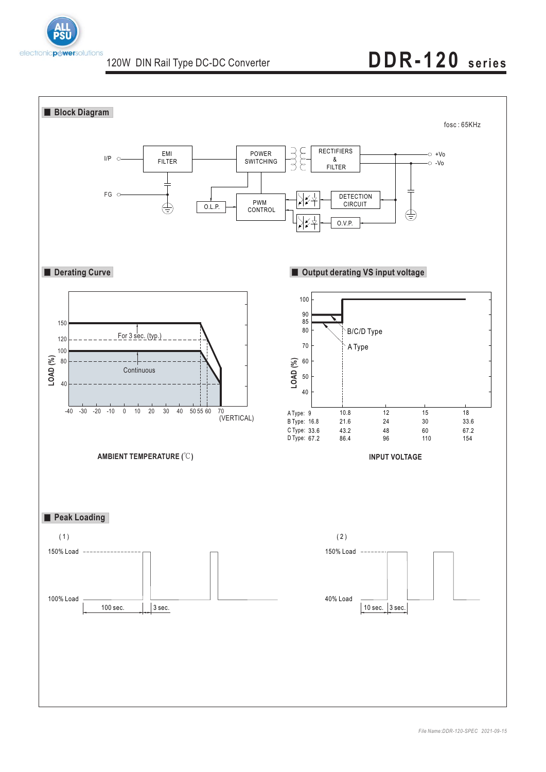

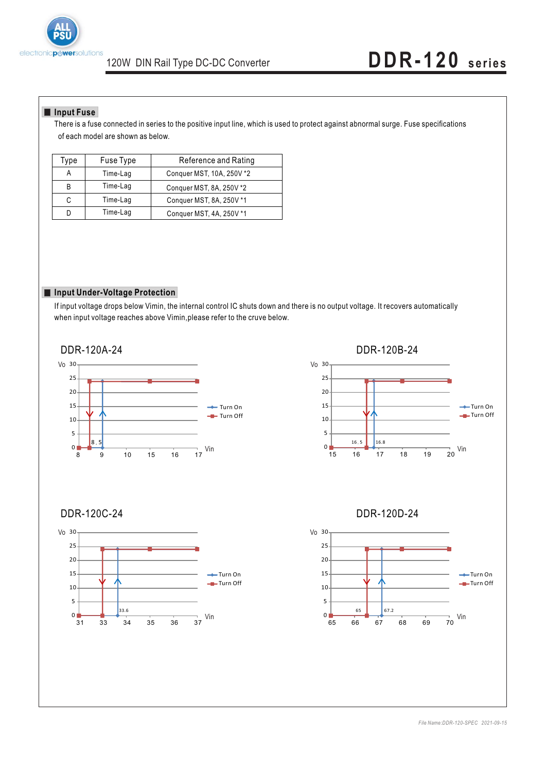

#### **Input Fuse**

There is a fuse connected in series to the positive input line, which is used to protect against abnormal surge. Fuse specifications of each model are shown as below.

| Type | Fuse Type | Reference and Rating      |  |  |
|------|-----------|---------------------------|--|--|
|      | Time-Lag  | Conquer MST, 10A, 250V *2 |  |  |
| B    | Time-Lag  | Conquer MST, 8A, 250V *2  |  |  |
| С    | Time-Lag  | Conquer MST, 8A, 250V *1  |  |  |
|      | Time-Lag  | Conquer MST, 4A, 250V *1  |  |  |

#### **Input Under-Voltage Protection**

If input voltage drops below Vimin, the internal control IC shuts down and there is no output voltage. It recovers automatically when input voltage reaches above Vimin,please refer to the cruve below.

> →Turn On **Turn Off**

Vin

37



33.6

31 33 34 35 36

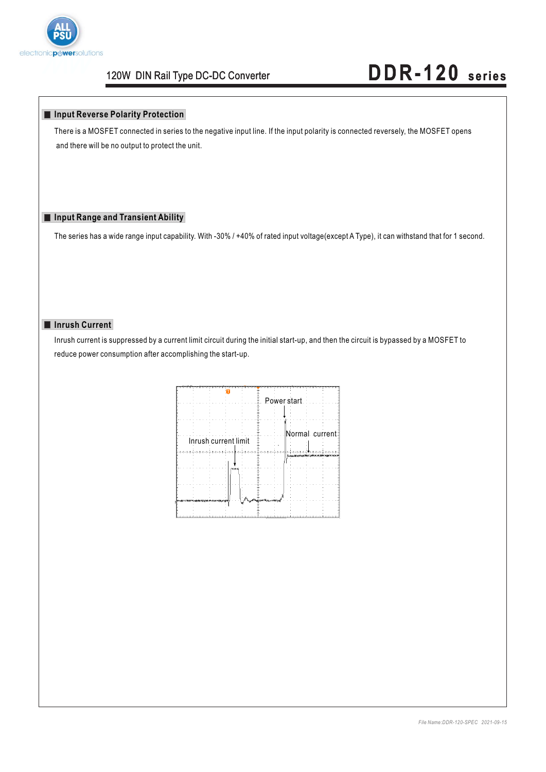

#### **Input Reverse Polarity Protection**

There is a MOSFET connected in series to the negative input line. If the input polarity is connected reversely, the MOSFET opens and there will be no output to protect the unit.

### **Input Range and Transient Ability**

The series has a wide range input capability. With -30% / +40% of rated input voltage(except A Type), it can withstand that for 1 second.

#### **Inrush Current**

Inrush current is suppressed by a current limit circuit during the initial start-up, and then the circuit is bypassed by a MOSFET to reduce power consumption after accomplishing the start-up.

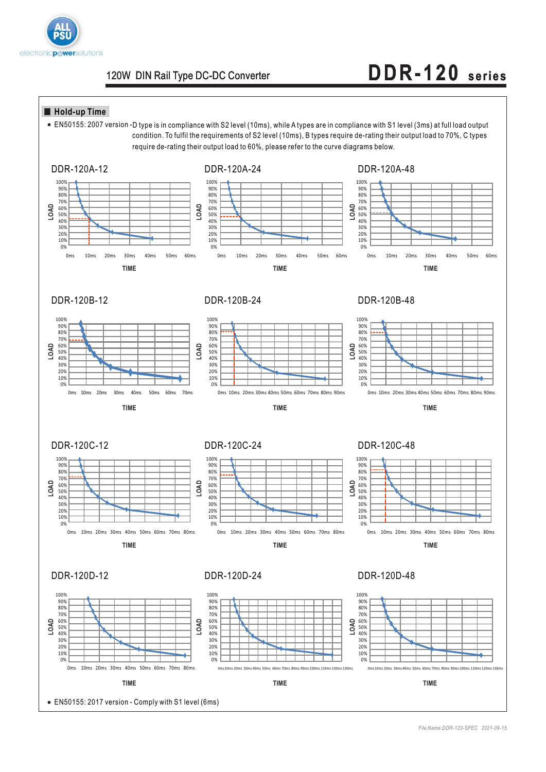

### **Hold-up Time**

EN50155: 2007 version -D type is in compliance with S2 level (10ms), while A types are in compliance with S1 level (3ms) at full load output condition. To fulfil the requirements of S2 level (10ms), B types require de-rating their output load to 70%, C types require de-rating their output load to 60%, please refer to the curve diagrams below.

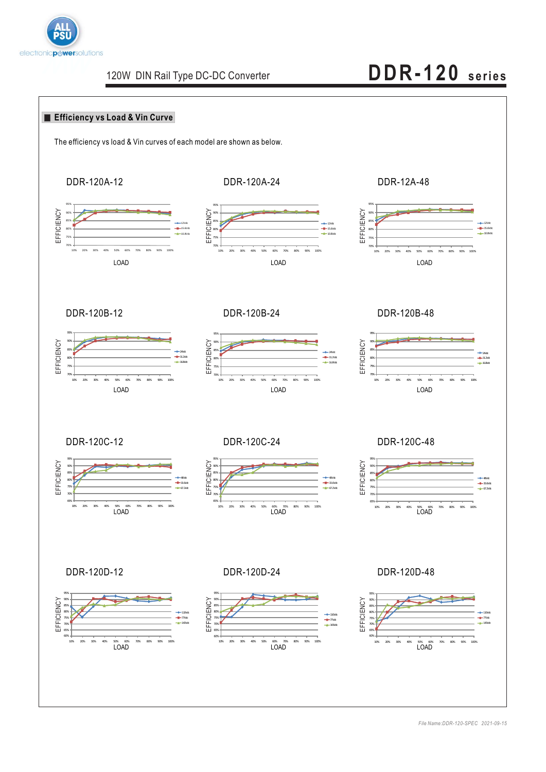

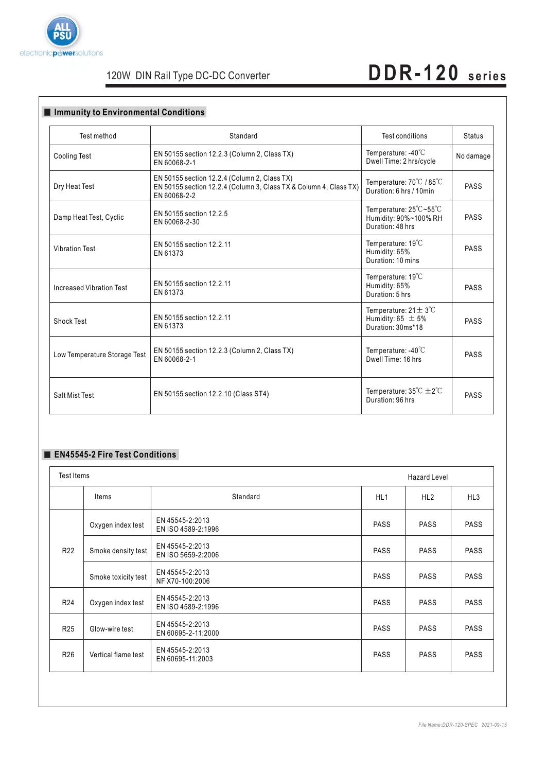

### 120W DIN Rail Type DC-DC Converter

# **DDR-120 series**

#### **Immunity to Environmental Conditions** Test method Cooling Test Dry Heat Test Damp Heat Test, Cyclic Vibration Test Increased Vibration Test Shock Test Low Temperature Storage Test Standard EN 50155 section 12.2.3 (Column 2, Class TX) EN 60068-2-1 Temperature: -40℃ Dwell Time: 2 hrs/cycle Temperature: 25°C~55°C Humidity: 90%~100% RH Duration: 48 hrs Temperature: 19℃ Humidity: 65% Duration: 10 mins Temperature: 19℃ Humidity: 65% Duration: 5 hrs Temperature:  $21 \pm 3^\circ \text{C}$ Humidity:  $65 \pm 5\%$ Duration: 30ms\*18 Temperature: -40℃ Dwell Time: 16 hrs Temperature: 70°C / 85°C Duration: 6 hrs / 10min EN 50155 section 12.2.5 EN 60068-2-30 EN 50155 section 12.2.11 EN 61373 EN 50155 section 12.2.11 EN 61373 EN 50155 section 12.2.11 EN 61373 EN 50155 section 12.2.3 (Column 2, Class TX) EN 60068-2-1 EN 50155 section 12.2.4 (Column 2, Class TX) EN 50155 section 12.2.4 (Column 3, Class TX & Column 4, Class TX) EN 60068-2-2 Test conditions | Status No damage PASS PASS PASS PASS PASS PASS  $\begin{array}{|l|l|}\hline \text{Salt Mist Test} \end{array} \begin{array}{|l|l|}\hline \text{EN 50155 section 12.2.10 (Class ST4)} \end{array} \begin{array}{|l|l|}\hline \text{Unration: 96 hrs} \end{array} \begin{array}{|l|l|}\hline \text{Temperature: 35}^{\circ}\text{C} \pm 2^{\circ}\text{C} & \text{PASS} \end{array}$

### **EN45545-2 Fire Test Conditions**

| Test Items<br><b>Hazard Level</b> |                                       |             |             |                 |
|-----------------------------------|---------------------------------------|-------------|-------------|-----------------|
| Items                             | Standard                              | HL1         | HL2         | HL <sub>3</sub> |
| Oxygen index test                 | EN 45545-2:2013<br>EN ISO 4589-2:1996 | <b>PASS</b> | <b>PASS</b> | <b>PASS</b>     |
| Smoke density test                | EN 45545-2:2013<br>EN ISO 5659-2:2006 | <b>PASS</b> | <b>PASS</b> | <b>PASS</b>     |
| Smoke toxicity test               | EN 45545-2:2013<br>NF X70-100:2006    | <b>PASS</b> | <b>PASS</b> | <b>PASS</b>     |
| Oxygen index test                 | EN 45545-2:2013<br>EN ISO 4589-2:1996 | <b>PASS</b> | <b>PASS</b> | <b>PASS</b>     |
| Glow-wire test                    | EN 45545-2:2013<br>EN 60695-2-11:2000 | <b>PASS</b> | <b>PASS</b> | <b>PASS</b>     |
| Vertical flame test               | EN 45545-2:2013<br>EN 60695-11:2003   | <b>PASS</b> | <b>PASS</b> | <b>PASS</b>     |
|                                   |                                       |             |             |                 |